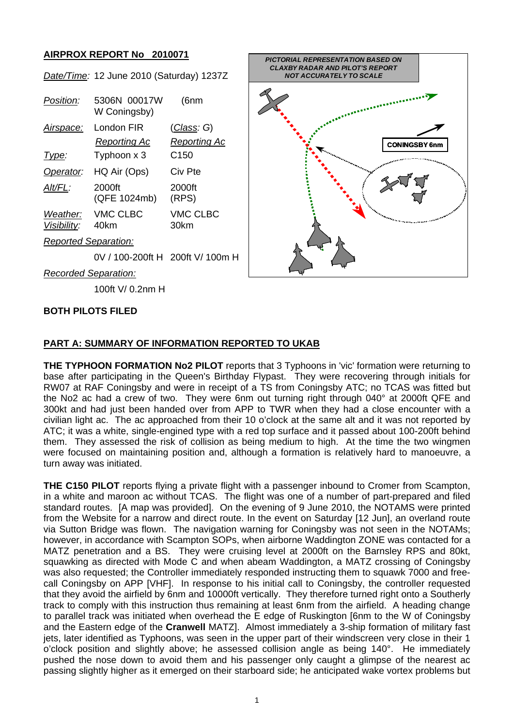## **AIRPROX REPORT No 2010071**

|                             | Date/Time: 12 June 2010 (Saturday) 1237Z |                     |  |
|-----------------------------|------------------------------------------|---------------------|--|
| Position:                   | 5306N 00017W<br>W Coningsby)             | (6nm                |  |
| Airspace:                   | London FIR                               | <u>(Class</u> : G)  |  |
|                             | Reporting Ac                             | <b>Reporting Ac</b> |  |
| Type:                       | Typhoon x 3                              | C150                |  |
| Operator:                   | HQ Air (Ops)                             | Civ Pte             |  |
| Alt/FL:                     | 2000ft<br>(QFE 1024mb)                   | 2000ft<br>(RPS)     |  |
| Visibility:                 | Weather: VMC CLBC<br>40km                | VMC CLBC<br>30km    |  |
| <b>Reported Separation:</b> |                                          |                     |  |
|                             | 0V / 100-200ft H _200ft V/ 100m H        |                     |  |



*Recorded Separation:*

100ft V/ 0.2nm H

#### **BOTH PILOTS FILED**

### **PART A: SUMMARY OF INFORMATION REPORTED TO UKAB**

**THE TYPHOON FORMATION No2 PILOT** reports that 3 Typhoons in 'vic' formation were returning to base after participating in the Queen's Birthday Flypast. They were recovering through initials for RW07 at RAF Coningsby and were in receipt of a TS from Coningsby ATC; no TCAS was fitted but the No2 ac had a crew of two. They were 6nm out turning right through 040° at 2000ft QFE and 300kt and had just been handed over from APP to TWR when they had a close encounter with a civilian light ac. The ac approached from their 10 o'clock at the same alt and it was not reported by ATC; it was a white, single-engined type with a red top surface and it passed about 100-200ft behind them. They assessed the risk of collision as being medium to high. At the time the two wingmen were focused on maintaining position and, although a formation is relatively hard to manoeuvre, a turn away was initiated.

**THE C150 PILOT** reports flying a private flight with a passenger inbound to Cromer from Scampton, in a white and maroon ac without TCAS. The flight was one of a number of part-prepared and filed standard routes. [A map was provided]. On the evening of 9 June 2010, the NOTAMS were printed from the Website for a narrow and direct route. In the event on Saturday [12 Jun], an overland route via Sutton Bridge was flown. The navigation warning for Coningsby was not seen in the NOTAMs; however, in accordance with Scampton SOPs, when airborne Waddington ZONE was contacted for a MATZ penetration and a BS. They were cruising level at 2000ft on the Barnsley RPS and 80kt, squawking as directed with Mode C and when abeam Waddington, a MATZ crossing of Coningsby was also requested; the Controller immediately responded instructing them to squawk 7000 and freecall Coningsby on APP [VHF]. In response to his initial call to Coningsby, the controller requested that they avoid the airfield by 6nm and 10000ft vertically. They therefore turned right onto a Southerly track to comply with this instruction thus remaining at least 6nm from the airfield. A heading change to parallel track was initiated when overhead the E edge of Ruskington [6nm to the W of Coningsby and the Eastern edge of the **Cranwell** MATZ]. Almost immediately a 3-ship formation of military fast jets, later identified as Typhoons, was seen in the upper part of their windscreen very close in their 1 o'clock position and slightly above; he assessed collision angle as being 140°. He immediately pushed the nose down to avoid them and his passenger only caught a glimpse of the nearest ac passing slightly higher as it emerged on their starboard side; he anticipated wake vortex problems but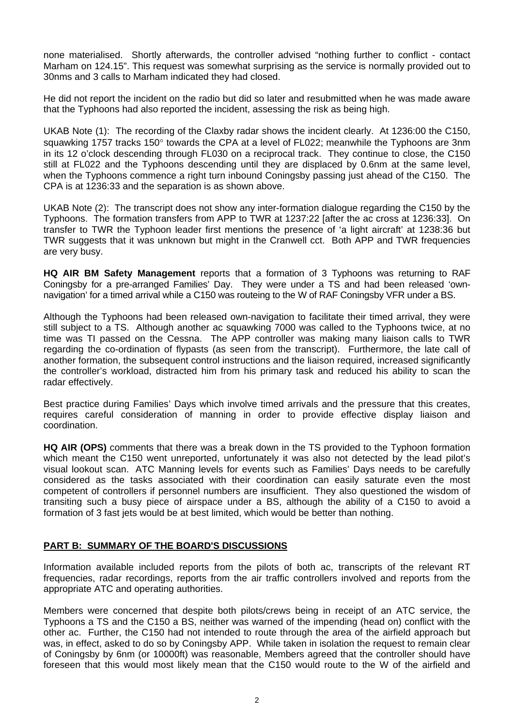none materialised. Shortly afterwards, the controller advised "nothing further to conflict - contact Marham on 124.15". This request was somewhat surprising as the service is normally provided out to 30nms and 3 calls to Marham indicated they had closed.

He did not report the incident on the radio but did so later and resubmitted when he was made aware that the Typhoons had also reported the incident, assessing the risk as being high.

UKAB Note (1): The recording of the Claxby radar shows the incident clearly. At 1236:00 the C150, squawking 1757 tracks 150° towards the CPA at a level of FL022; meanwhile the Typhoons are 3nm in its 12 o'clock descending through FL030 on a reciprocal track. They continue to close, the C150 still at FL022 and the Typhoons descending until they are displaced by 0.6nm at the same level, when the Typhoons commence a right turn inbound Coningsby passing just ahead of the C150. The CPA is at 1236:33 and the separation is as shown above.

UKAB Note (2): The transcript does not show any inter-formation dialogue regarding the C150 by the Typhoons. The formation transfers from APP to TWR at 1237:22 [after the ac cross at 1236:33]. On transfer to TWR the Typhoon leader first mentions the presence of 'a light aircraft' at 1238:36 but TWR suggests that it was unknown but might in the Cranwell cct. Both APP and TWR frequencies are very busy.

**HQ AIR BM Safety Management** reports that a formation of 3 Typhoons was returning to RAF Coningsby for a pre-arranged Families' Day. They were under a TS and had been released 'ownnavigation' for a timed arrival while a C150 was routeing to the W of RAF Coningsby VFR under a BS.

Although the Typhoons had been released own-navigation to facilitate their timed arrival, they were still subject to a TS. Although another ac squawking 7000 was called to the Typhoons twice, at no time was TI passed on the Cessna. The APP controller was making many liaison calls to TWR regarding the co-ordination of flypasts (as seen from the transcript). Furthermore, the late call of another formation, the subsequent control instructions and the liaison required, increased significantly the controller's workload, distracted him from his primary task and reduced his ability to scan the radar effectively.

Best practice during Families' Days which involve timed arrivals and the pressure that this creates, requires careful consideration of manning in order to provide effective display liaison and coordination.

**HQ AIR (OPS)** comments that there was a break down in the TS provided to the Typhoon formation which meant the C150 went unreported, unfortunately it was also not detected by the lead pilot's visual lookout scan. ATC Manning levels for events such as Families' Days needs to be carefully considered as the tasks associated with their coordination can easily saturate even the most competent of controllers if personnel numbers are insufficient. They also questioned the wisdom of transiting such a busy piece of airspace under a BS, although the ability of a C150 to avoid a formation of 3 fast jets would be at best limited, which would be better than nothing.

## **PART B: SUMMARY OF THE BOARD'S DISCUSSIONS**

Information available included reports from the pilots of both ac, transcripts of the relevant RT frequencies, radar recordings, reports from the air traffic controllers involved and reports from the appropriate ATC and operating authorities.

Members were concerned that despite both pilots/crews being in receipt of an ATC service, the Typhoons a TS and the C150 a BS, neither was warned of the impending (head on) conflict with the other ac. Further, the C150 had not intended to route through the area of the airfield approach but was, in effect, asked to do so by Coningsby APP. While taken in isolation the request to remain clear of Coningsby by 6nm (or 10000ft) was reasonable, Members agreed that the controller should have foreseen that this would most likely mean that the C150 would route to the W of the airfield and